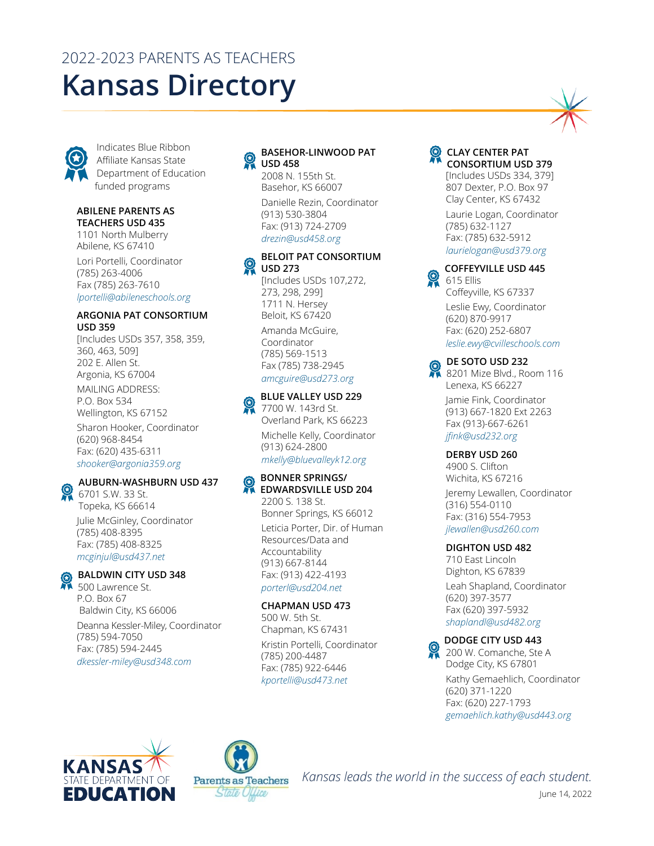# 2022-2023 PARENTS AS TEACHERS **Kansas Directory**



Indicates Blue Ribbon Affiliate Kansas State Department of Education funded programs

#### **ABILENE PARENTS AS TEACHERS USD 435**

1101 North Mulberry Abilene, KS 67410

Lori Portelli, Coordinator (785) 263-4006 Fax (785) 263-7610 *[lportelli@abileneschools.org](mailto:lportelli@abileneschools.org)*

#### **ARGONIA PAT CONSORTIUM USD 359**

[Includes USDs 357, 358, 359, 360, 463, 509] 202 E. Allen St. Argonia, KS 67004 MAILING ADDRESS: P.O. Box 534 Wellington, KS 67152 Sharon Hooker, Coordinator (620) 968-8454 Fax: (620) 435-6311 *[shooker@argonia359.org](mailto:shooker@argonia359.org)*

# **AUBURN-WASHBURN USD 437**

**6701 S.W. 33 St.** Topeka, KS 66614 Julie McGinley, Coordinator (785) 408-8395 Fax: (785) 408-8325 *[mcginjul@usd437.net](mailto:mcginjul@usd437.net)*



# **BALDWIN CITY USD 348**

500 Lawrence St. P.O. Box 67 Baldwin City, KS 66006 Deanna Kessler-Miley, Coordinator (785) 594-7050

Fax: (785) 594-2445 *[dkessler-miley@usd348.com](mailto:dkessler-miley@usd348.com)*

# **BASEHOR-LINWOOD PAT USD 458**

2008 N. 155th St. Basehor, KS 66007 Danielle Rezin, Coordinator (913) 530-3804 Fax: (913) 724-2709 *[drezin@usd458.org](mailto:drezin@usd458.org)*

# **BELOIT PAT CONSORTIUM USD 273**

[Includes USDs 107,272, 273, 298, 299] 1711 N. Hersey Beloit, KS 67420

Amanda McGuire, Coordinator (785) 569-1513 Fax (785) 738-2945 *[amcguire@usd273.org](mailto:amcguire@usd273.org)*



7700 W. 143rd St. Overland Park, KS 66223

Michelle Kelly, Coordinator (913) 624-2800 *[mkelly@bluevalleyk12.org](mailto:mkelly@bluevalleyk12.org)*

# **BONNER SPRINGS/ EDWARDSVILLE USD 204**

2200 S. 138 St. Bonner Springs, KS 66012 Leticia Porter, Dir. of Human Resources/Data and Accountability (913) 667-8144 Fax: (913) 422-4193 *[porterl@usd204.net](mailto:porterl@usd204.net)*

# **CHAPMAN USD 473**

500 W. 5th St. Chapman, KS 67431 Kristin Portelli, Coordinator (785) 200-4487 Fax: (785) 922-6446 *[kportelli@usd473.net](mailto:kportelli@usd473.net)*



# **CONSORTIUM USD 379**

[Includes USDs 334, 379] 807 Dexter, P.O. Box 97 Clay Center, KS 67432

Laurie Logan, Coordinator (785) 632-1127 Fax: (785) 632-5912 *[laurielogan@usd379.org](mailto:laurielogan@usd379.org)*

**COFFEYVILLE USD 445** 615 Ellis

Coffeyville, KS 67337 Leslie Ewy, Coordinator (620) 870-9917 Fax: (620) 252-6807 *[leslie.ewy@cvilleschools.com](mailto:leslie.ewy@cvilleschools.com)*

# **DE SOTO USD 232**

8201 Mize Blvd., Room 116 Lenexa, KS 66227

Jamie Fink, Coordinator (913) 667-1820 Ext 2263 Fax (913)-667-6261 *[jfink@usd232.org](mailto:jfink@usd232.org)*

# **DERBY USD 260**

4900 S. Clifton Wichita, KS 67216

Jeremy Lewallen, Coordinator (316) 554-0110 Fax: (316) 554-7953 *[jlewallen@usd260.com](mailto:jlewallen@usd260.com)*

# **DIGHTON USD 482**

710 East Lincoln Dighton, KS 67839 Leah Shapland, Coordinator (620) 397-3577 Fax (620) 397-5932 *[shaplandl@usd482.org](mailto:shaplandl@usd482.org)*

# **DODGE CITY USD 443**

200 W. Comanche, Ste A Dodge City, KS 67801 Kathy Gemaehlich, Coordinator (620) 371-1220 Fax: (620) 227-1793 *[gemaehlich.kathy@usd443.org](mailto:gemaehlich.kathy@usd443.org)*





*Kansas leads the world in the success of each student.*

June 14, 2022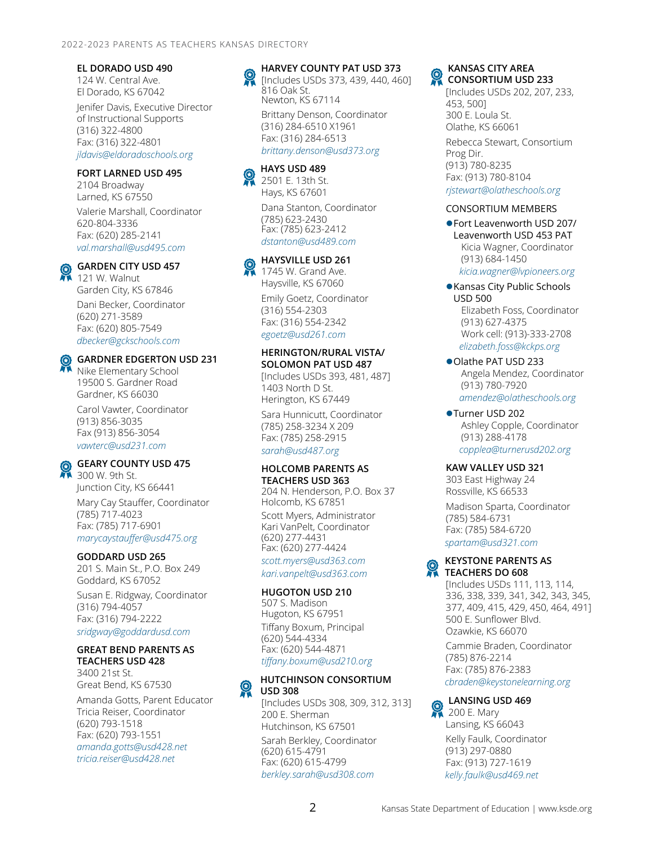# **EL DORADO USD 490**

124 W. Central Ave. El Dorado, KS 67042

Jenifer Davis, Executive Director of Instructional Supports (316) 322-4800 Fax: (316) 322-4801 *[jldavis@eldoradoschools.org](mailto:jldavis@eldoradoschools.org)*

### **FORT LARNED USD 495**

2104 Broadway Larned, KS 67550

Valerie Marshall, Coordinator 620-804-3336 Fax: (620) 285-2141 *[val.marshall@usd495.com](mailto:val.marshall@usd495.com)*

# **GARDEN CITY USD 457**

121 W. Walnut Garden City, KS 67846

Dani Becker, Coordinator (620) 271-3589 Fax: (620) 805-7549 *[dbecker@gckschools.com](mailto:dbecker@gckschools.com)*

# **GARDNER EDGERTON USD 231**

Nike Elementary School 19500 S. Gardner Road Gardner, KS 66030

Carol Vawter, Coordinator (913) 856-3035 Fax (913) 856-3054 *[vawterc@usd231.com](mailto:vawterc@usd231.com)*

# **GEARY COUNTY USD 475**

■ 300 W. 9th St. Junction City, KS 66441 Mary Cay Stauffer, Coordinator (785) 717-4023

Fax: (785) 717-6901 *[marycaystauffer@usd475.org](mailto:marycaystauffer@usd475.org)*

#### **GODDARD USD 265**

201 S. Main St., P.O. Box 249 Goddard, KS 67052

Susan E. Ridgway, Coordinator (316) 794-4057 Fax: (316) 794-2222 *[sridgway@goddardusd.com](mailto:sridgway@goddardusd.com)*

# **GREAT BEND PARENTS AS TEACHERS USD 428**

3400 21st St. Great Bend, KS 67530

Amanda Gotts, Parent Educator Tricia Reiser, Coordinator (620) 793-1518 Fax: (620) 793-1551 *[amanda.gotts@usd428.net](mailto:amanda.gotts@usd428.net) [tricia.reiser@usd428.net](mailto:tricia.reiser@usd428.net)*

# **HARVEY COUNTY PAT USD 373**

[Includes USDs 373, 439, 440, 460] 816 Oak St. Newton, KS 67114 Brittany Denson, Coordinator (316) 284-6510 X1961 Fax: (316) 284-6513 *[brittany.denson@usd373.org](mailto:brittany.denson@usd373.org)*

# **HAYS USD 489**

2501 E. 13th St. Hays, KS 67601 Dana Stanton, Coordinator (785) 623-2430 Fax: (785) 623-2412 *[dstanton@usd489.com](mailto:dstanton@usd489.com)*

#### **HAYSVILLE USD 261**

1745 W. Grand Ave. Haysville, KS 67060

Emily Goetz, Coordinator (316) 554-2303 Fax: (316) 554-2342 *[egoetz@usd261.com](mailto:egoetz@usd261.com)*

#### **HERINGTON/RURAL VISTA/ SOLOMON PAT USD 487**

[Includes USDs 393, 481, 487] 1403 North D St. Herington, KS 67449

Sara Hunnicutt, Coordinator (785) 258-3234 X 209 Fax: (785) 258-2915 *[sarah@usd487.org](mailto:sarah@usd487.org)*

#### **HOLCOMB PARENTS AS TEACHERS USD 363**

204 N. Henderson, P.O. Box 37 Holcomb, KS 67851 Scott Myers, Administrator Kari VanPelt, Coordinator (620) 277-4431 Fax: (620) 277-4424 *[scott.myers@usd363.com](mailto:scott.myers@usd363.com)*

*[kari.vanpelt@usd363.com](mailto:kari.vanpelt@usd363.com)*

# **HUGOTON USD 210**

507 S. Madison Hugoton, KS 67951 Tiffany Boxum, Principal (620) 544-4334 Fax: (620) 544-4871 *[tiffany.boxum@usd210.org](mailto:tiffany.boxum@usd210.org)*

#### **HUTCHINSON CONSORTIUM**   $\Omega$ **USD 308**

[Includes USDs 308, 309, 312, 313] 200 E. Sherman Hutchinson, KS 67501 Sarah Berkley, Coordinator (620) 615-4791 Fax: (620) 615-4799 *[berkley.sarah@usd308.com](mailto:berkley.sarah@usd308.com)*

#### **KANSAS CITY AREA**  Q **CONSORTIUM USD 233**

[Includes USDs 202, 207, 233, 453, 500] 300 E. Loula St. Olathe, KS 66061 Rebecca Stewart, Consortium Prog Dir. (913) 780-8235 Fax: (913) 780-8104 *[rjstewart@olatheschools.org](mailto:rjstewart@olatheschools.org)*

#### CONSORTIUM MEMBERS

Fort Leavenworth USD 207/ Leavenworth USD 453 PAT Kicia Wagner, Coordinator (913) 684-1450

*[kicia.wagner@lvpioneers.org](mailto:kicia.wagner@lvpioneers.org)*

#### Kansas City Public Schools USD 500 Elizabeth Foss, Coordinator (913) 627-4375 Work cell: (913)-333-2708 *[elizabeth.foss@kckps.org](mailto:elizabeth.foss@kckps.org)*

Olathe PAT USD 233 Angela Mendez, Coordinator (913) 780-7920 *[amendez@olatheschools.org](mailto:amendez@olatheschools.org)*

●Turner USD 202 Ashley Copple, Coordinator (913) 288-4178 *[copplea@turnerusd202.org](mailto:copplea@turnerusd202.org)*

#### **KAW VALLEY USD 321**

303 East Highway 24 Rossville, KS 66533

Madison Sparta, Coordinator (785) 584-6731 Fax: (785) 584-6720 *[spartam@usd321.com](mailto:spartam@usd321.com)*

# **KEYSTONE PARENTS AS TEACHERS DO 608**

[Includes USDs 111, 113, 114, 336, 338, 339, 341, 342, 343, 345, 377, 409, 415, 429, 450, 464, 491] 500 E. Sunflower Blvd. Ozawkie, KS 66070

Cammie Braden, Coordinator (785) 876-2214 Fax: (785) 876-2383 *[cbraden@keystonelearning.org](mailto:cbraden@keystonelearning.org)*

# **LANSING USD 469**

200 E. Mary Lansing, KS 66043 Kelly Faulk, Coordinator (913) 297-0880 Fax: (913) 727-1619 *[kelly.faulk@usd469.net](mailto:kelly.faulk@usd469.net)*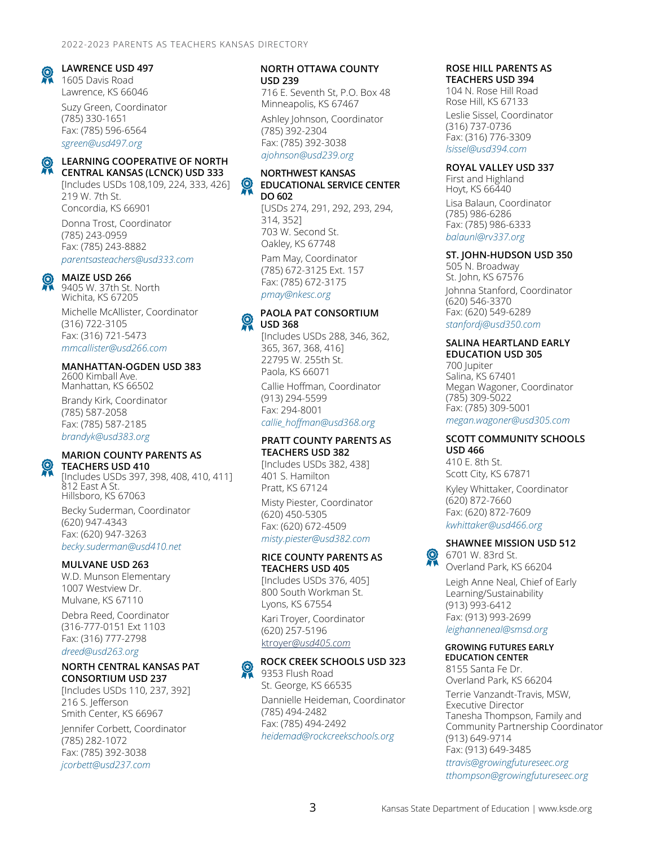#### **LAWRENCE USD 497**

1605 Davis Road Lawrence, KS 66046 Suzy Green, Coordinator

(785) 330-1651 Fax: (785) 596-6564 *[sgreen@usd497.org](mailto:sgreen@usd497.org)*

#### **LEARNING COOPERATIVE OF NORTH CENTRAL KANSAS (LCNCK) USD 333**

[Includes USDs 108,109, 224, 333, 426] 219 W. 7th St. Concordia, KS 66901

Donna Trost, Coordinator (785) 243-0959 Fax: (785) 243-8882 *[parentsasteachers@usd333.com](mailto:parentsasteachers@usd333.com)*

#### **MAIZE USD 266**

9405 W. 37th St. North Wichita, KS 67205

Michelle McAllister, Coordinator (316) 722-3105 Fax: (316) 721-5473 *[mmcallister@usd266.com](mailto:mmcallister@usd266.com)*

# **MANHATTAN-OGDEN USD 383**

2600 Kimball Ave. Manhattan, KS 66502

Brandy Kirk, Coordinator (785) 587-2058 Fax: (785) 587-2185 *[brandyk@usd383.org](mailto:brandyk@usd383.org)*

#### **MARION COUNTY PARENTS AS**

**TEACHERS USD 410** [Includes USDs 397, 398, 408, 410, 411] 812 East A St. Hillsboro, KS 67063

Becky Suderman, Coordinator (620) 947-4343 Fax: (620) 947-3263 *[becky.suderman@usd410.net](mailto:becky.suderman@usd410.net)*

#### **MULVANE USD 263**

W.D. Munson Elementary 1007 Westview Dr. Mulvane, KS 67110 Debra Reed, Coordinator (316-777-0151 Ext 1103 Fax: (316) 777-2798 *[dreed@usd263.org](mailto:dreed@usd263.org)*

# **NORTH CENTRAL KANSAS PAT CONSORTIUM USD 237**

[Includes USDs 110, 237, 392] 216 S. Jefferson Smith Center, KS 66967

Jennifer Corbett, Coordinator (785) 282-1072 Fax: (785) 392-3038 *[jcorbett@usd237.com](mailto:jcorbett@usd237.com)*

#### **NORTH OTTAWA COUNTY USD 239**

716 E. Seventh St, P.O. Box 48 Minneapolis, KS 67467

Ashley Johnson, Coordinator (785) 392-2304 Fax: (785) 392-3038 *[ajohnson@usd239.org](mailto:ajohnson@usd239.org)*

#### **NORTHWEST KANSAS**  ନ୍ଦୁ **EDUCATIONAL SERVICE CENTER DO 602**

[USDs 274, 291, 292, 293, 294, 314, 352] 703 W. Second St. Oakley, KS 67748

Pam May, Coordinator (785) 672-3125 Ext. 157 Fax: (785) 672-3175 *[pmay@nkesc.org](mailto:pmay@nkesc.org)*

# **PAOLA PAT CONSORTIUM USD 368**

[Includes USDs 288, 346, 362, 365, 367, 368, 416] 22795 W. 255th St. Paola, KS 66071

Callie Hoffman, Coordinator (913) 294-5599 Fax: 294-8001 *[callie\\_hoffman@usd368.org](mailto:callie_hoffman@usd368.org)*

#### **PRATT COUNTY PARENTS AS TEACHERS USD 382**

[Includes USDs 382, 438] 401 S. Hamilton Pratt, KS 67124

Misty Piester, Coordinator (620) 450-5305 Fax: (620) 672-4509 *[misty.piester@usd382.com](mailto:misty.piester@usd382.com)*

# **RICE COUNTY PARENTS AS**

**TEACHERS USD 405** [Includes USDs 376, 405] 800 South Workman St. Lyons, KS 67554

Kari Troyer, Coordinator (620) 257-5196 ktroyer*[@usd405.com](mailto:ktroyer@usd405.com)*

**ROCK CREEK SCHOOLS USD 323**

9353 Flush Road St. George, KS 66535 Dannielle Heideman, Coordinator (785) 494-2482 Fax: (785) 494-2492 *[heidemad@rockcreekschools.org](mailto:heidemad@rockcreekschools.org)*

#### **ROSE HILL PARENTS AS TEACHERS USD 394**

104 N. Rose Hill Road Rose Hill, KS 67133

Leslie Sissel, Coordinator (316) 737-0736 Fax: (316) 776-3309 *[lsissel@usd394.com](mailto:lsissel@usd394.com)*

#### **ROYAL VALLEY USD 337**

First and Highland Hoyt, KS 66440 Lisa Balaun, Coordinator (785) 986-6286 Fax: (785) 986-6333 *[balaunl@rv337.org](mailto:balaunl@rv337.org)*

#### **ST. JOHN-HUDSON USD 350**

505 N. Broadway St. John, KS 67576 Johnna Stanford, Coordinator (620) 546-3370 Fax: (620) 549-6289 *[stanfordj@usd350.com](mailto:stanfordj@usd350.com)*

#### **SALINA HEARTLAND EARLY EDUCATION USD 305**

700 Jupiter Salina, KS 67401 Megan Wagoner, Coordinator (785) 309-5022 Fax: (785) 309-5001 *[megan.wagoner@usd305.com](mailto:megan.wagoner@usd305.com)*

#### **SCOTT COMMUNITY SCHOOLS USD 466**

410 E. 8th St. Scott City, KS 67871

Kyley Whittaker, Coordinator (620) 872-7660 Fax: (620) 872-7609 *[kwhittaker@usd466.org](mailto:kwhittaker@usd466.org)*

#### **SHAWNEE MISSION USD 512**

6701 W. 83rd St. Overland Park, KS 66204

Leigh Anne Neal, Chief of Early Learning/Sustainability (913) 993-6412 Fax: (913) 993-2699 *[leighanneneal@smsd.org](mailto:leighanneneal@smsd.org)*

#### **GROWING FUTURES EARLY EDUCATION CENTER**

8155 Santa Fe Dr. Overland Park, KS 66204 Terrie Vanzandt-Travis, MSW, Executive Director Tanesha Thompson, Family and Community Partnership Coordinator (913) 649-9714 Fax: (913) 649-3485 *[ttravis@growingfutureseec.org](mailto:ttravis@growingfutureseec.org)*

*[tthompson@growingfutureseec.org](mailto:tthompson@growingfutureseec.org)*